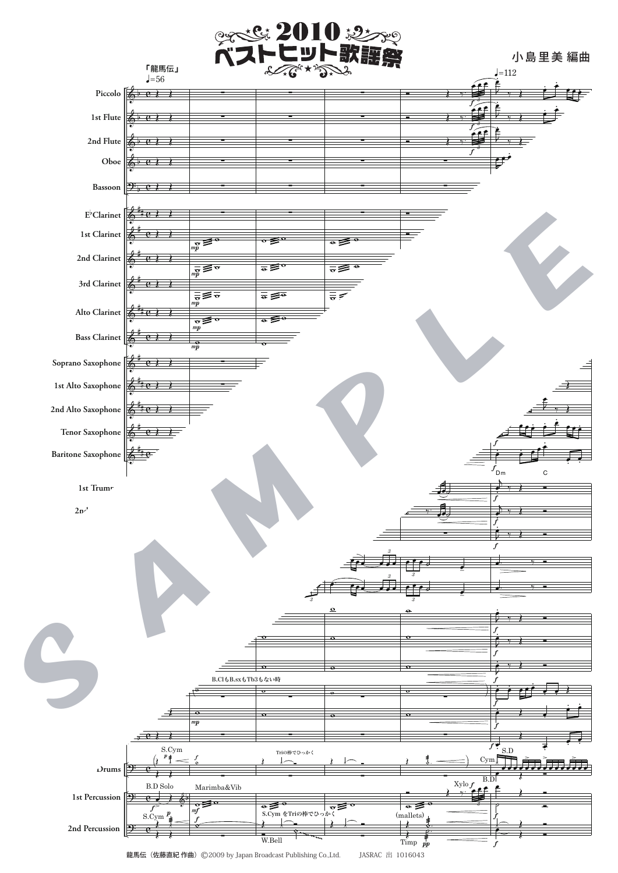